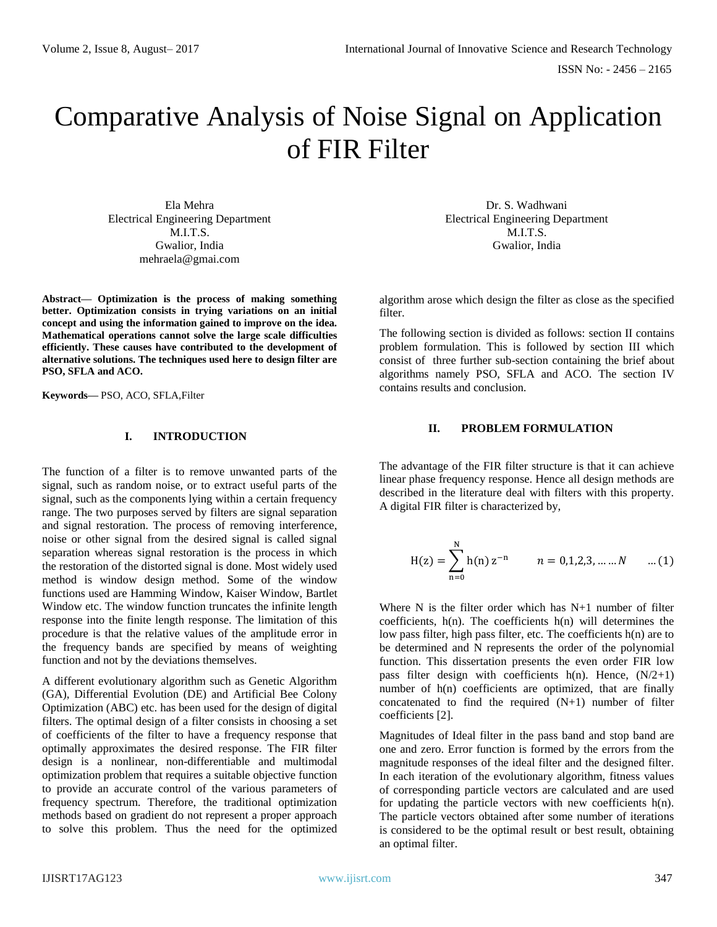# Comparative Analysis of Noise Signal on Application of FIR Filter

Ela Mehra Electrical Engineering Department M.I.T.S. Gwalior, India [mehraela@gmai.com](mailto:mehraela@gmai.com)

**Abstract— Optimization is the process of making something better. Optimization consists in trying variations on an initial concept and using the information gained to improve on the idea. Mathematical operations cannot solve the large scale difficulties efficiently. These causes have contributed to the development of alternative solutions. The techniques used here to design filter are PSO, SFLA and ACO.**

**Keywords—** PSO, ACO, SFLA,Filter

## **I. INTRODUCTION**

The function of a filter is to remove unwanted parts of the signal, such as random noise, or to extract useful parts of the signal, such as the components lying within a certain frequency range. The two purposes served by filters are signal separation and signal restoration. The process of removing interference, noise or other signal from the desired signal is called signal separation whereas signal restoration is the process in which the restoration of the distorted signal is done. Most widely used method is window design method. Some of the window functions used are Hamming Window, Kaiser Window, Bartlet Window etc. The window function truncates the infinite length response into the finite length response. The limitation of this procedure is that the relative values of the amplitude error in the frequency bands are specified by means of weighting function and not by the deviations themselves.

A different evolutionary algorithm such as Genetic Algorithm (GA), Differential Evolution (DE) and Artificial Bee Colony Optimization (ABC) etc. has been used for the design of digital filters. The optimal design of a filter consists in choosing a set of coefficients of the filter to have a frequency response that optimally approximates the desired response. The FIR filter design is a nonlinear, non-differentiable and multimodal optimization problem that requires a suitable objective function to provide an accurate control of the various parameters of frequency spectrum. Therefore, the traditional optimization methods based on gradient do not represent a proper approach to solve this problem. Thus the need for the optimized

Dr. S. Wadhwani Electrical Engineering Department M.I.T.S. Gwalior, India

algorithm arose which design the filter as close as the specified filter.

The following section is divided as follows: section II contains problem formulation. This is followed by section III which consist of three further sub-section containing the brief about algorithms namely PSO, SFLA and ACO. The section IV contains results and conclusion.

# **II. PROBLEM FORMULATION**

The advantage of the FIR filter structure is that it can achieve linear phase frequency response. Hence all design methods are described in the literature deal with filters with this property. A digital FIR filter is characterized by,

$$
H(z) = \sum_{n=0}^{N} h(n) z^{-n} \qquad n = 0, 1, 2, 3, \dots, N \qquad \dots (1)
$$

Where N is the filter order which has N+1 number of filter coefficients, h(n). The coefficients h(n) will determines the low pass filter, high pass filter, etc. The coefficients h(n) are to be determined and N represents the order of the polynomial function. This dissertation presents the even order FIR low pass filter design with coefficients  $h(n)$ . Hence,  $(N/2+1)$ number of h(n) coefficients are optimized, that are finally concatenated to find the required (N+1) number of filter coefficients [2].

Magnitudes of Ideal filter in the pass band and stop band are one and zero. Error function is formed by the errors from the magnitude responses of the ideal filter and the designed filter. In each iteration of the evolutionary algorithm, fitness values of corresponding particle vectors are calculated and are used for updating the particle vectors with new coefficients h(n). The particle vectors obtained after some number of iterations is considered to be the optimal result or best result, obtaining an optimal filter.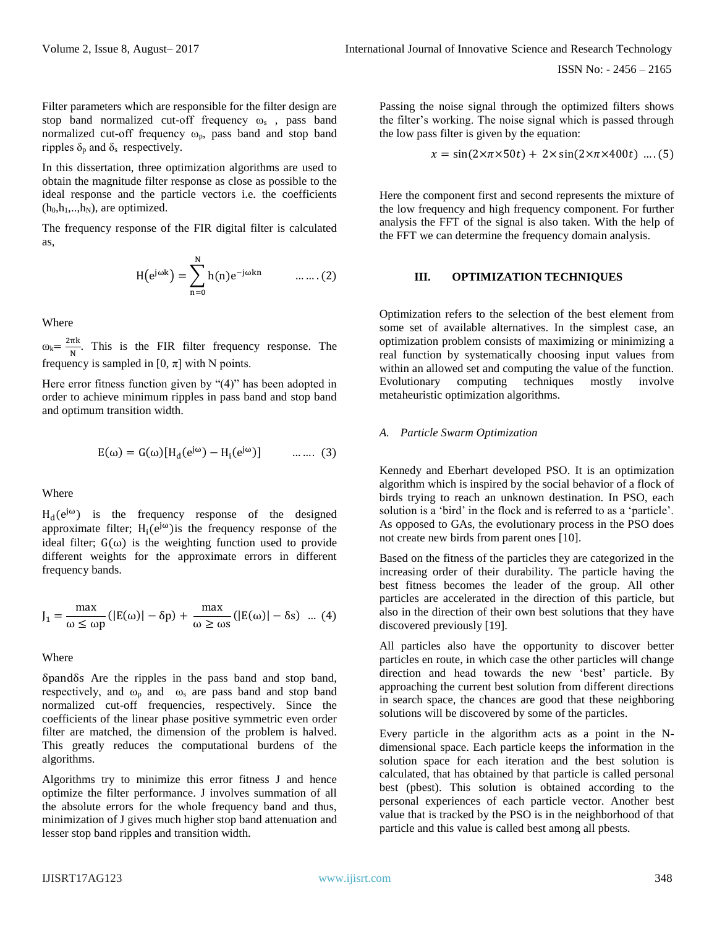Filter parameters which are responsible for the filter design are stop band normalized cut-off frequency  $\omega_s$ , pass band normalized cut-off frequency  $\omega_p$ , pass band and stop band ripples  $\delta_p$  and  $\delta_s$  respectively.

In this dissertation, three optimization algorithms are used to obtain the magnitude filter response as close as possible to the ideal response and the particle vectors i.e. the coefficients  $(h_0, h_1, \ldots, h_N)$ , are optimized.

The frequency response of the FIR digital filter is calculated as,

$$
H(e^{j\omega k}) = \sum_{n=0}^{N} h(n)e^{-j\omega kn} \qquad \dots \dots (2)
$$

Where

 $\omega_k = \frac{2\pi k}{N}$  $\frac{1}{N}$ . This is the FIR filter frequency response. The frequency is sampled in  $[0, \pi]$  with N points.

Here error fitness function given by "(4)" has been adopted in order to achieve minimum ripples in pass band and stop band and optimum transition width.

$$
E(\omega) = G(\omega)[H_d(e^{j\omega}) - H_i(e^{j\omega})] \quad \dots \dots \quad (3)
$$

Where

 $H_d(e^{j\omega})$  is the frequency response of the designed approximate filter;  $H_i(e^{j\omega})$  is the frequency response of the ideal filter;  $G(\omega)$  is the weighting function used to provide different weights for the approximate errors in different frequency bands.

$$
J_1 = \frac{\max}{\omega \le \omega p} (|E(\omega)| - \delta p) + \frac{\max}{\omega \ge \omega s} (|E(\omega)| - \delta s) \dots (4)
$$

#### Where

δpandδs Are the ripples in the pass band and stop band, respectively, and  $\omega_p$  and  $\omega_s$  are pass band and stop band normalized cut-off frequencies, respectively. Since the coefficients of the linear phase positive symmetric even order filter are matched, the dimension of the problem is halved. This greatly reduces the computational burdens of the algorithms.

Algorithms try to minimize this error fitness J and hence optimize the filter performance. J involves summation of all the absolute errors for the whole frequency band and thus, minimization of J gives much higher stop band attenuation and lesser stop band ripples and transition width.

Passing the noise signal through the optimized filters shows the filter's working. The noise signal which is passed through the low pass filter is given by the equation:

$$
x = \sin(2 \times \pi \times 50t) + 2 \times \sin(2 \times \pi \times 400t) \dots (5)
$$

Here the component first and second represents the mixture of the low frequency and high frequency component. For further analysis the FFT of the signal is also taken. With the help of the FFT we can determine the frequency domain analysis.

# **III. OPTIMIZATION TECHNIQUES**

Optimization refers to the selection of the best element from some set of available alternatives. In the simplest case, an optimization problem consists of maximizing or minimizing a real function by systematically choosing input values from within an allowed set and computing the value of the function. Evolutionary computing techniques mostly involve metaheuristic optimization algorithms.

## *A. Particle Swarm Optimization*

Kennedy and Eberhart developed PSO. It is an optimization algorithm which is inspired by the social behavior of a flock of birds trying to reach an unknown destination. In PSO, each solution is a 'bird' in the flock and is referred to as a 'particle'. As opposed to GAs, the evolutionary process in the PSO does not create new birds from parent ones [10].

Based on the fitness of the particles they are categorized in the increasing order of their durability. The particle having the best fitness becomes the leader of the group. All other particles are accelerated in the direction of this particle, but also in the direction of their own best solutions that they have discovered previously [19].

All particles also have the opportunity to discover better particles en route, in which case the other particles will change direction and head towards the new 'best' particle. By approaching the current best solution from different directions in search space, the chances are good that these neighboring solutions will be discovered by some of the particles.

Every particle in the algorithm acts as a point in the Ndimensional space. Each particle keeps the information in the solution space for each iteration and the best solution is calculated, that has obtained by that particle is called personal best (pbest). This solution is obtained according to the personal experiences of each particle vector. Another best value that is tracked by the PSO is in the neighborhood of that particle and this value is called best among all pbests.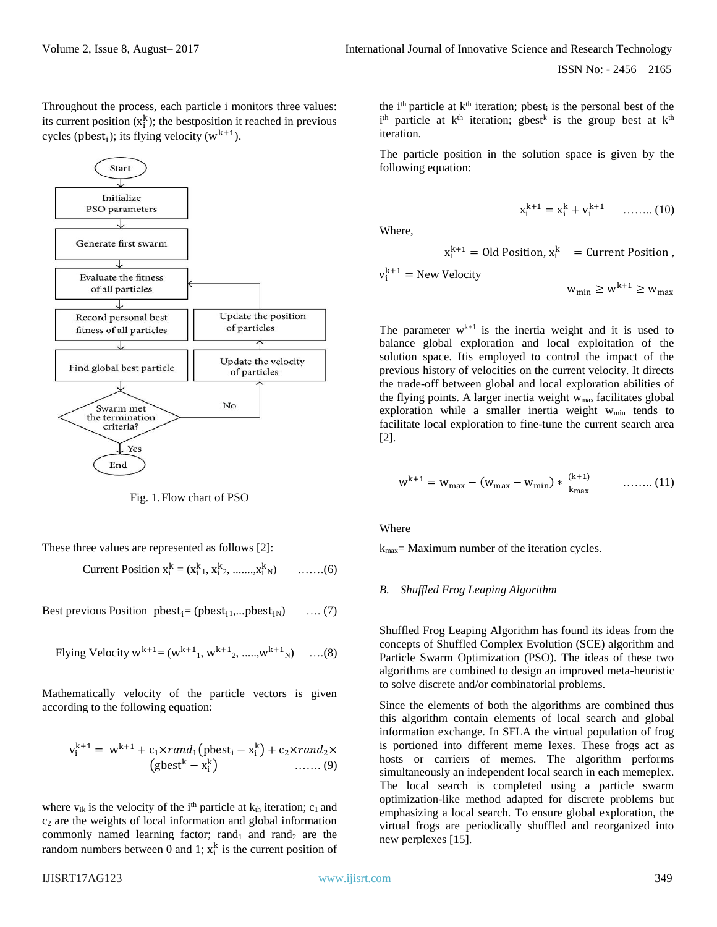ISSN No: - 2456 – 2165

Throughout the process, each particle i monitors three values: its current position  $(x_i^k)$ ; the bestposition it reached in previous cycles (pbest<sub>i</sub>); its flying velocity ( $w^{k+1}$ ).



Fig. 1.Flow chart of PSO

These three values are represented as follows [2]:

Current Position  $x_i^k = (x_{i1}^k, x_{i2}^k, \dots, x_i^k)$ <sup>N</sup>) …….(6)

Best previous Position pbest<sub>i</sub>= (pbest<sub>i1</sub>,...pbest<sub>iN</sub>) ….. (7)

Flying Velocity 
$$
w^{k+1} = (w^{k+1}, w^{k+1}, \dots, w^{k+1})
$$
 ... (8)

Mathematically velocity of the particle vectors is given according to the following equation:

$$
v_i^{k+1} = w^{k+1} + c_1 \times rand_1(\text{pbest}_i - x_i^k) + c_2 \times rand_2 \times \text{(gbest}^k - x_i^k) \quad \dots \dots \dots (9)
$$

where  $v_{ik}$  is the velocity of the i<sup>th</sup> particle at  $k_{th}$  iteration;  $c_1$  and  $c<sub>2</sub>$  are the weights of local information and global information commonly named learning factor;  $rand_1$  and  $rand_2$  are the random numbers between 0 and 1;  $x_i^k$  is the current position of The particle position in the solution space is given by the following equation:

$$
x_i^{k+1} = x_i^k + v_i^{k+1} \qquad \ldots \ldots \ldots (10)
$$

Where,

$$
x_i^{k+1}
$$
 = Old Position,  $x_i^k$  = Current Position,

$$
v_i^{k+1} = New Velocity
$$

 $w_{\min} \geq w^{k+1} \geq w_{\max}$ 

The parameter  $w^{k+1}$  is the inertia weight and it is used to balance global exploration and local exploitation of the solution space. Itis employed to control the impact of the previous history of velocities on the current velocity. It directs the trade-off between global and local exploration abilities of the flying points. A larger inertia weight  $w_{max}$  facilitates global exploration while a smaller inertia weight w<sub>min</sub> tends to facilitate local exploration to fine-tune the current search area [2].

$$
w^{k+1} = w_{\text{max}} - (w_{\text{max}} - w_{\text{min}}) * \frac{(k+1)}{k_{\text{max}}}
$$
 ...... (11)

Where

 $k_{\text{max}}$  Maximum number of the iteration cycles.

#### *B. Shuffled Frog Leaping Algorithm*

Shuffled Frog Leaping Algorithm has found its ideas from the concepts of Shuffled Complex Evolution (SCE) algorithm and Particle Swarm Optimization (PSO). The ideas of these two algorithms are combined to design an improved meta-heuristic to solve discrete and/or combinatorial problems.

Since the elements of both the algorithms are combined thus this algorithm contain elements of local search and global information exchange. In SFLA the virtual population of frog is portioned into different meme lexes. These frogs act as hosts or carriers of memes. The algorithm performs simultaneously an independent local search in each memeplex. The local search is completed using a particle swarm optimization-like method adapted for discrete problems but emphasizing a local search. To ensure global exploration, the virtual frogs are periodically shuffled and reorganized into new perplexes [15].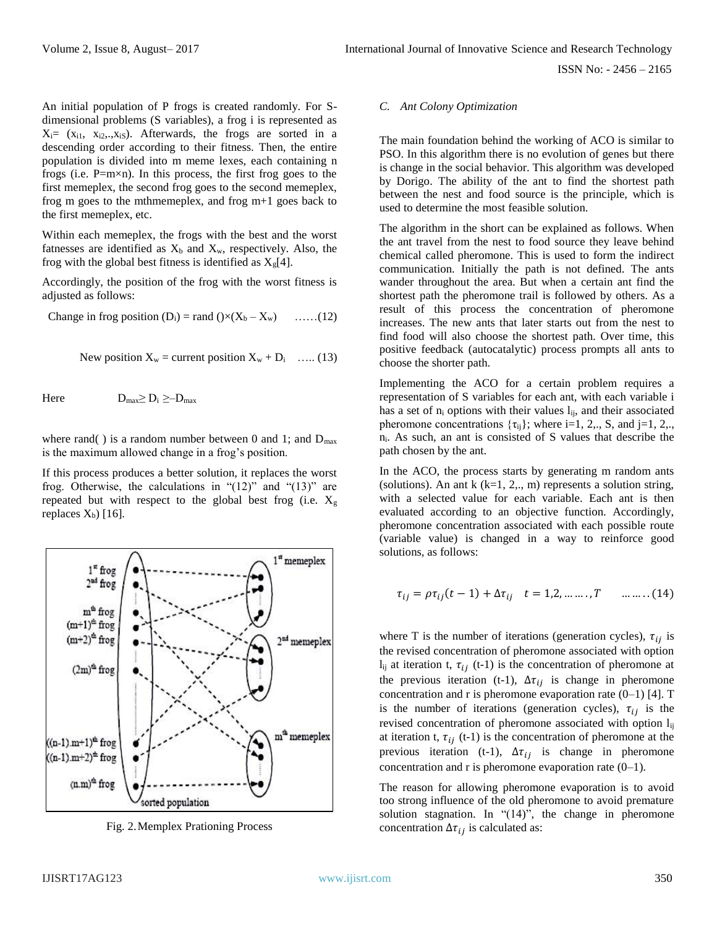An initial population of P frogs is created randomly. For Sdimensional problems (S variables), a frog i is represented as  $X_i = (x_{i1}, x_{i2},...,x_{iS})$ . Afterwards, the frogs are sorted in a descending order according to their fitness. Then, the entire population is divided into m meme lexes, each containing n frogs (i.e. P=m×n). In this process, the first frog goes to the first memeplex, the second frog goes to the second memeplex, frog m goes to the mthmemeplex, and frog m+1 goes back to the first memeplex, etc.

Within each memeplex, the frogs with the best and the worst fatnesses are identified as  $X_b$  and  $X_w$ , respectively. Also, the frog with the global best fitness is identified as  $X_{g}[4]$ .

Accordingly, the position of the frog with the worst fitness is adjusted as follows:

Change in frog position  $(D_i)$  = rand  $(\times(X_b - X_w)$  ……(12)

New position 
$$
X_w
$$
 = current position  $X_w + D_i$  ...... (13)

Here  $D_{\text{max}} \geq D_i \geq -D_{\text{max}}$ 

where rand() is a random number between 0 and 1; and  $D_{\text{max}}$ is the maximum allowed change in a frog's position.

If this process produces a better solution, it replaces the worst frog. Otherwise, the calculations in " $(12)$ " and " $(13)$ " are repeated but with respect to the global best frog (i.e.  $X_{g}$ replaces  $X_b$ ) [16].



Fig. 2.Memplex Prationing Process

# *C. Ant Colony Optimization*

The main foundation behind the working of ACO is similar to PSO. In this algorithm there is no evolution of genes but there is change in the social behavior. This algorithm was developed by Dorigo. The ability of the ant to find the shortest path between the nest and food source is the principle, which is used to determine the most feasible solution.

The algorithm in the short can be explained as follows. When the ant travel from the nest to food source they leave behind chemical called pheromone. This is used to form the indirect communication. Initially the path is not defined. The ants wander throughout the area. But when a certain ant find the shortest path the pheromone trail is followed by others. As a result of this process the concentration of pheromone increases. The new ants that later starts out from the nest to find food will also choose the shortest path. Over time, this positive feedback (autocatalytic) process prompts all ants to choose the shorter path.

Implementing the ACO for a certain problem requires a representation of S variables for each ant, with each variable i has a set of  $n_i$  options with their values  $l_{ii}$ , and their associated pheromone concentrations  $\{\tau_{ij}\}$ ; where i=1, 2,., S, and j=1, 2,., ni. As such, an ant is consisted of S values that describe the path chosen by the ant.

In the ACO, the process starts by generating m random ants (solutions). An ant k  $(k=1, 2, \ldots, m)$  represents a solution string, with a selected value for each variable. Each ant is then evaluated according to an objective function. Accordingly, pheromone concentration associated with each possible route (variable value) is changed in a way to reinforce good solutions, as follows:

$$
\tau_{ij} = \rho \tau_{ij}(t-1) + \Delta \tau_{ij} \quad t = 1, 2, \dots, T \quad \dots \dots (14)
$$

where T is the number of iterations (generation cycles),  $\tau_{ij}$  is the revised concentration of pheromone associated with option  $l_{ij}$  at iteration t,  $\tau_{ij}$  (t-1) is the concentration of pheromone at the previous iteration (t-1),  $\Delta \tau_{ij}$  is change in pheromone concentration and r is pheromone evaporation rate  $(0-1)$  [4]. T is the number of iterations (generation cycles),  $\tau_{ii}$  is the revised concentration of pheromone associated with option l<sub>ij</sub> at iteration t,  $\tau_{ij}$  (t-1) is the concentration of pheromone at the previous iteration (t-1),  $\Delta \tau_{ij}$  is change in pheromone concentration and r is pheromone evaporation rate  $(0-1)$ .

The reason for allowing pheromone evaporation is to avoid too strong influence of the old pheromone to avoid premature solution stagnation. In " $(14)$ ", the change in pheromone concentration  $\Delta \tau_{ij}$  is calculated as: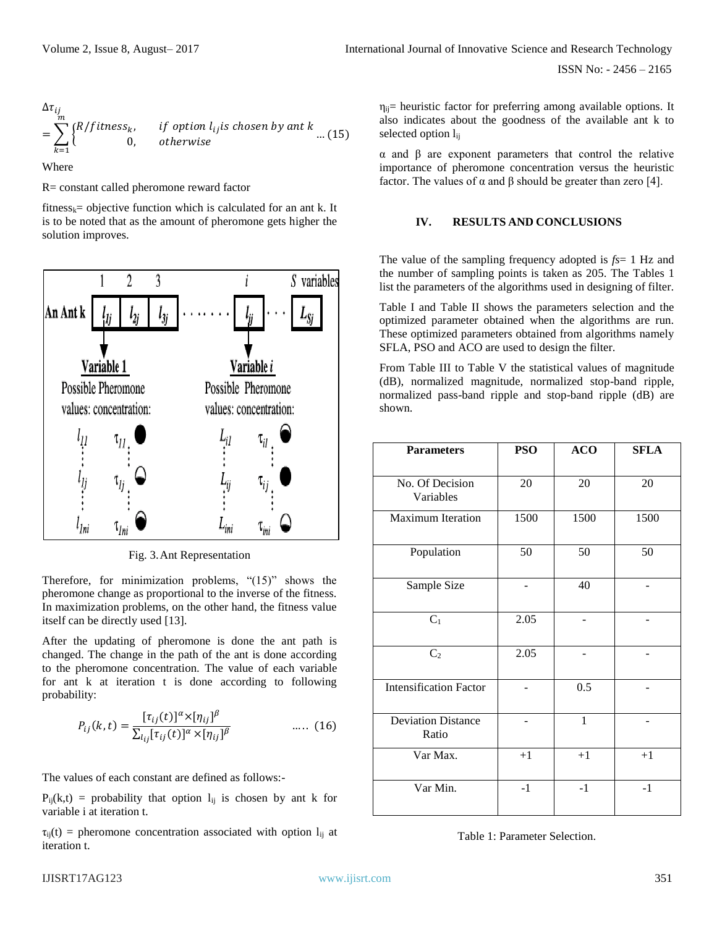$$
\Delta \tau_{ij}
$$
  
=  $\sum_{k=1}^{m} {R/fitness_k, \qquad \text{if option } l_{ij} \text{is chosen by ant } k \dots (15)}$ 

Where

R= constant called pheromone reward factor

fitness<sub>k</sub>= objective function which is calculated for an ant k. It is to be noted that as the amount of pheromone gets higher the solution improves.



Fig. 3.Ant Representation

Therefore, for minimization problems, "(15)" shows the pheromone change as proportional to the inverse of the fitness. In maximization problems, on the other hand, the fitness value itself can be directly used [13].

After the updating of pheromone is done the ant path is changed. The change in the path of the ant is done according to the pheromone concentration. The value of each variable for ant k at iteration t is done according to following probability:

$$
P_{ij}(k,t) = \frac{[\tau_{ij}(t)]^{\alpha} \times [\eta_{ij}]^{\beta}}{\sum_{l_{ij}} [\tau_{ij}(t)]^{\alpha} \times [\eta_{ij}]^{\beta}} \qquad \qquad \dots \qquad (16)
$$

The values of each constant are defined as follows:-

 $P_{ii}(k,t)$  = probability that option  $I_{ii}$  is chosen by ant k for variable i at iteration t.

 $\tau_{ii}(t)$  = pheromone concentration associated with option  $l_{ii}$  at iteration t.

α and β are exponent parameters that control the relative importance of pheromone concentration versus the heuristic factor. The values of  $\alpha$  and  $\beta$  should be greater than zero [4].

#### **IV. RESULTS AND CONCLUSIONS**

The value of the sampling frequency adopted is *fs*= 1 Hz and the number of sampling points is taken as 205. The Tables 1 list the parameters of the algorithms used in designing of filter.

Table I and Table II shows the parameters selection and the optimized parameter obtained when the algorithms are run. These optimized parameters obtained from algorithms namely SFLA, PSO and ACO are used to design the filter.

From Table III to Table V the statistical values of magnitude (dB), normalized magnitude, normalized stop-band ripple, normalized pass-band ripple and stop-band ripple (dB) are shown.

| <b>Parameters</b>                  | <b>PSO</b> | <b>ACO</b>   | <b>SFLA</b> |
|------------------------------------|------------|--------------|-------------|
| No. Of Decision<br>Variables       | 20         | 20           | 20          |
| Maximum Iteration                  | 1500       | 1500         | 1500        |
| Population                         | 50         | 50           | 50          |
| Sample Size                        |            | 40           |             |
| $C_1$                              | 2.05       |              |             |
| C <sub>2</sub>                     | 2.05       |              |             |
| <b>Intensification Factor</b>      |            | 0.5          |             |
| <b>Deviation Distance</b><br>Ratio |            | $\mathbf{1}$ |             |
| Var Max.                           | $+1$       | $+1$         | $+1$        |
| Var Min.                           | $-1$       | $-1$         | $-1$        |

Table 1: Parameter Selection.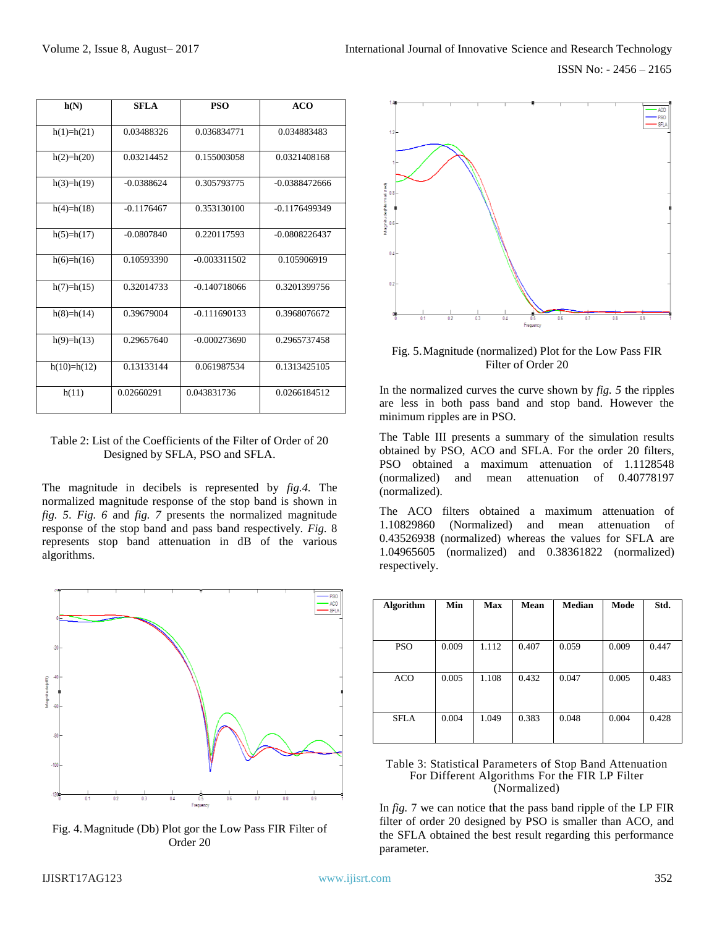| h(N)          | <b>SFLA</b>  | <b>PSO</b>     | <b>ACO</b>      |
|---------------|--------------|----------------|-----------------|
| $h(1)=h(21)$  | 0.03488326   | 0.036834771    | 0.034883483     |
| $h(2)=h(20)$  | 0.03214452   | 0.155003058    | 0.0321408168    |
| $h(3)=h(19)$  | $-0.0388624$ | 0.305793775    | $-0.0388472666$ |
| $h(4)=h(18)$  | $-0.1176467$ | 0.353130100    | $-0.1176499349$ |
| $h(5)=h(17)$  | $-0.0807840$ | 0.220117593    | $-0.0808226437$ |
| $h(6)=h(16)$  | 0.10593390   | $-0.003311502$ | 0.105906919     |
| $h(7)=h(15)$  | 0.32014733   | $-0.140718066$ | 0.3201399756    |
| $h(8)=h(14)$  | 0.39679004   | $-0.111690133$ | 0.3968076672    |
| $h(9)=h(13)$  | 0.29657640   | $-0.000273690$ | 0.2965737458    |
| $h(10)=h(12)$ | 0.13133144   | 0.061987534    | 0.1313425105    |
| h(11)         | 0.02660291   | 0.043831736    | 0.0266184512    |

#### Table 2: List of the Coefficients of the Filter of Order of 20 Designed by SFLA, PSO and SFLA.

The magnitude in decibels is represented by *fig.4.* The normalized magnitude response of the stop band is shown in *fig. 5*. *Fig. 6* and *fig. 7* presents the normalized magnitude response of the stop band and pass band respectively. *Fig.* 8 represents stop band attenuation in dB of the various algorithms.



Fig. 4.Magnitude (Db) Plot gor the Low Pass FIR Filter of Order 20



Fig. 5.Magnitude (normalized) Plot for the Low Pass FIR Filter of Order 20

In the normalized curves the curve shown by *fig. 5* the ripples are less in both pass band and stop band. However the minimum ripples are in PSO.

The Table III presents a summary of the simulation results obtained by PSO, ACO and SFLA. For the order 20 filters, PSO obtained a maximum attenuation of 1.1128548 (normalized) and mean attenuation of 0.40778197 (normalized).

The ACO filters obtained a maximum attenuation of 1.10829860 (Normalized) and mean attenuation of 0.43526938 (normalized) whereas the values for SFLA are 1.04965605 (normalized) and 0.38361822 (normalized) respectively.

| <b>Algorithm</b> | Min   | <b>Max</b> | Mean  | <b>Median</b> | Mode  | Std.  |
|------------------|-------|------------|-------|---------------|-------|-------|
|                  |       |            |       |               |       |       |
| PSO              | 0.009 | 1.112      | 0.407 | 0.059         | 0.009 | 0.447 |
| ACO              | 0.005 | 1.108      | 0.432 | 0.047         | 0.005 | 0.483 |
| <b>SFLA</b>      | 0.004 | 1.049      | 0.383 | 0.048         | 0.004 | 0.428 |

Table 3: Statistical Parameters of Stop Band Attenuation For Different Algorithms For the FIR LP Filter (Normalized)

In *fig.* 7 we can notice that the pass band ripple of the LP FIR filter of order 20 designed by PSO is smaller than ACO, and the SFLA obtained the best result regarding this performance parameter.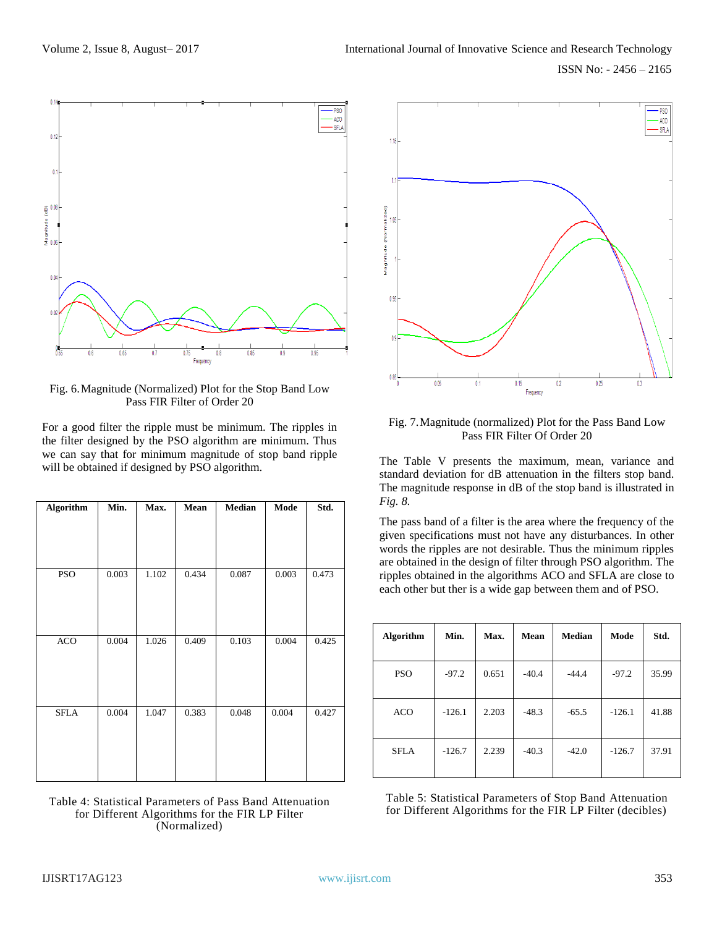

Fig. 6.Magnitude (Normalized) Plot for the Stop Band Low Pass FIR Filter of Order 20

For a good filter the ripple must be minimum. The ripples in the filter designed by the PSO algorithm are minimum. Thus we can say that for minimum magnitude of stop band ripple will be obtained if designed by PSO algorithm.

| <b>Algorithm</b> | Min.  | Max.  | Mean  | Median | Mode  | Std.  |
|------------------|-------|-------|-------|--------|-------|-------|
|                  |       |       |       |        |       |       |
|                  |       |       |       |        |       |       |
|                  |       |       |       |        |       |       |
| PSO              | 0.003 | 1.102 | 0.434 | 0.087  | 0.003 | 0.473 |
|                  |       |       |       |        |       |       |
|                  |       |       |       |        |       |       |
|                  |       |       |       |        |       |       |
| <b>ACO</b>       | 0.004 | 1.026 | 0.409 | 0.103  | 0.004 | 0.425 |
|                  |       |       |       |        |       |       |
|                  |       |       |       |        |       |       |
|                  |       |       |       |        |       |       |
| <b>SFLA</b>      | 0.004 | 1.047 | 0.383 | 0.048  | 0.004 | 0.427 |
|                  |       |       |       |        |       |       |
|                  |       |       |       |        |       |       |
|                  |       |       |       |        |       |       |
|                  |       |       |       |        |       |       |

Table 4: Statistical Parameters of Pass Band Attenuation for Different Algorithms for the FIR LP Filter (Normalized)



Fig. 7.Magnitude (normalized) Plot for the Pass Band Low Pass FIR Filter Of Order 20

The Table V presents the maximum, mean, variance and standard deviation for dB attenuation in the filters stop band. The magnitude response in dB of the stop band is illustrated in *Fig. 8.*

The pass band of a filter is the area where the frequency of the given specifications must not have any disturbances. In other words the ripples are not desirable. Thus the minimum ripples are obtained in the design of filter through PSO algorithm. The ripples obtained in the algorithms ACO and SFLA are close to each other but ther is a wide gap between them and of PSO.

| <b>Algorithm</b> | Min.     | Max.  | Mean    | Median  | Mode     | Std.  |
|------------------|----------|-------|---------|---------|----------|-------|
| <b>PSO</b>       | $-97.2$  | 0.651 | $-40.4$ | $-44.4$ | $-97.2$  | 35.99 |
| <b>ACO</b>       | $-126.1$ | 2.203 | $-48.3$ | $-65.5$ | $-126.1$ | 41.88 |
| <b>SFLA</b>      | $-126.7$ | 2.239 | $-40.3$ | $-42.0$ | $-126.7$ | 37.91 |

Table 5: Statistical Parameters of Stop Band Attenuation for Different Algorithms for the FIR LP Filter (decibles)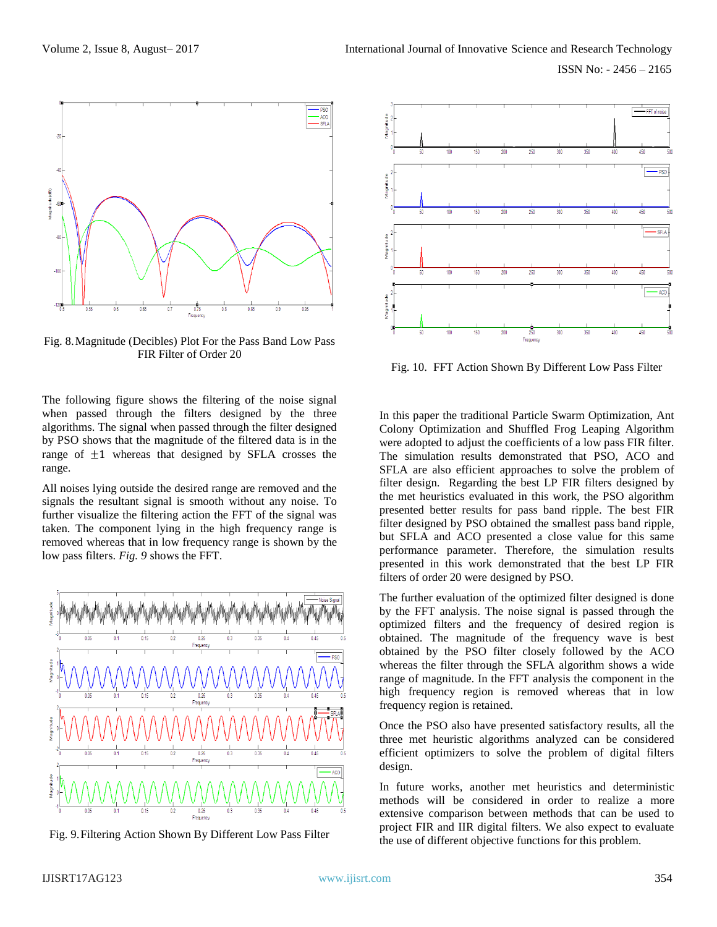

Fig. 8.Magnitude (Decibles) Plot For the Pass Band Low Pass FIR Filter of Order 20

The following figure shows the filtering of the noise signal when passed through the filters designed by the three algorithms. The signal when passed through the filter designed by PSO shows that the magnitude of the filtered data is in the range of  $\pm 1$  whereas that designed by SFLA crosses the range.

All noises lying outside the desired range are removed and the signals the resultant signal is smooth without any noise. To further visualize the filtering action the FFT of the signal was taken. The component lying in the high frequency range is removed whereas that in low frequency range is shown by the low pass filters. *Fig. 9* shows the FFT.



Fig. 9.Filtering Action Shown By Different Low Pass Filter



Fig. 10. FFT Action Shown By Different Low Pass Filter

In this paper the traditional Particle Swarm Optimization, Ant Colony Optimization and Shuffled Frog Leaping Algorithm were adopted to adjust the coefficients of a low pass FIR filter. The simulation results demonstrated that PSO, ACO and SFLA are also efficient approaches to solve the problem of filter design. Regarding the best LP FIR filters designed by the met heuristics evaluated in this work, the PSO algorithm presented better results for pass band ripple. The best FIR filter designed by PSO obtained the smallest pass band ripple, but SFLA and ACO presented a close value for this same performance parameter. Therefore, the simulation results presented in this work demonstrated that the best LP FIR filters of order 20 were designed by PSO.

The further evaluation of the optimized filter designed is done by the FFT analysis. The noise signal is passed through the optimized filters and the frequency of desired region is obtained. The magnitude of the frequency wave is best obtained by the PSO filter closely followed by the ACO whereas the filter through the SFLA algorithm shows a wide range of magnitude. In the FFT analysis the component in the high frequency region is removed whereas that in low frequency region is retained.

Once the PSO also have presented satisfactory results, all the three met heuristic algorithms analyzed can be considered efficient optimizers to solve the problem of digital filters design.

In future works, another met heuristics and deterministic methods will be considered in order to realize a more extensive comparison between methods that can be used to project FIR and IIR digital filters. We also expect to evaluate the use of different objective functions for this problem.